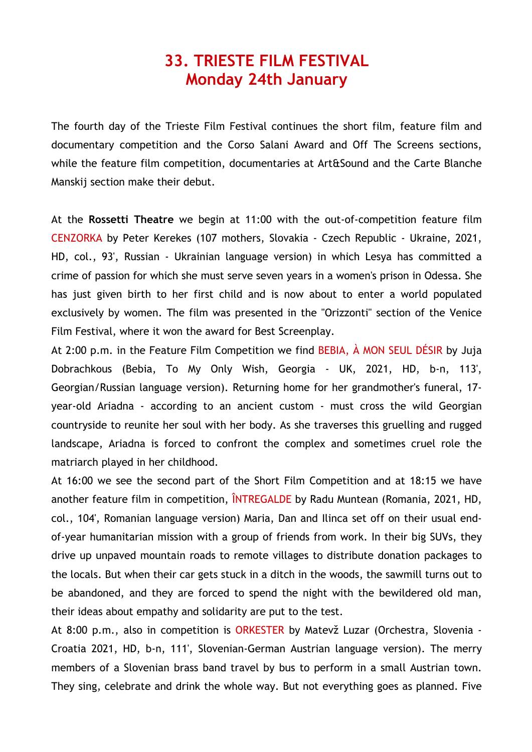## **33. TRIESTE FILM FESTIVAL Monday 24th January**

The fourth day of the Trieste Film Festival continues the short film, feature film and documentary competition and the Corso Salani Award and Off The Screens sections, while the feature film competition, documentaries at Art&Sound and the Carte Blanche Manskij section make their debut.

At the **Rossetti Theatre** we begin at 11:00 with the out-of-competition feature film CENZORKA by Peter Kerekes (107 mothers, Slovakia - Czech Republic - Ukraine, 2021, HD, col., 93', Russian - Ukrainian language version) in which Lesya has committed a crime of passion for which she must serve seven years in a women's prison in Odessa. She has just given birth to her first child and is now about to enter a world populated exclusively by women. The film was presented in the "Orizzonti" section of the Venice Film Festival, where it won the award for Best Screenplay.

At 2:00 p.m. in the Feature Film Competition we find BEBIA, À MON SEUL DÉSIR by Juia Dobrachkous (Bebia, To My Only Wish, Georgia - UK, 2021, HD, b-n, 113', Georgian/Russian language version). Returning home for her grandmother's funeral, 17 year-old Ariadna - according to an ancient custom - must cross the wild Georgian countryside to reunite her soul with her body. As she traverses this gruelling and rugged landscape, Ariadna is forced to confront the complex and sometimes cruel role the matriarch played in her childhood.

At 16:00 we see the second part of the Short Film Competition and at 18:15 we have another feature film in competition, ÎNTREGALDE by Radu Muntean (Romania, 2021, HD, col., 104', Romanian language version) Maria, Dan and Ilinca set off on their usual endof-year humanitarian mission with a group of friends from work. In their big SUVs, they drive up unpaved mountain roads to remote villages to distribute donation packages to the locals. But when their car gets stuck in a ditch in the woods, the sawmill turns out to be abandoned, and they are forced to spend the night with the bewildered old man, their ideas about empathy and solidarity are put to the test.

At 8:00 p.m., also in competition is ORKESTER by Matevž Luzar (Orchestra, Slovenia -Croatia 2021, HD, b-n, 111', Slovenian-German Austrian language version). The merry members of a Slovenian brass band travel by bus to perform in a small Austrian town. They sing, celebrate and drink the whole way. But not everything goes as planned. Five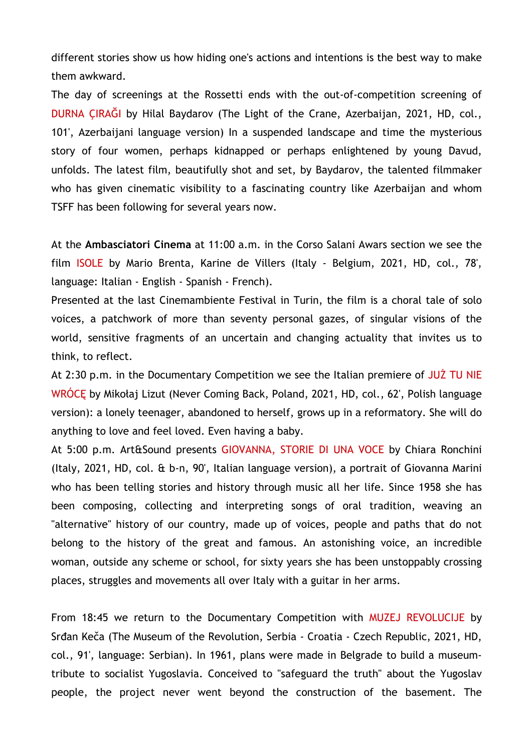different stories show us how hiding one's actions and intentions is the best way to make them awkward.

The day of screenings at the Rossetti ends with the out-of-competition screening of DURNA ÇIRAĞI by Hilal Baydarov (The Light of the Crane, Azerbaijan, 2021, HD, col., 101', Azerbaijani language version) In a suspended landscape and time the mysterious story of four women, perhaps kidnapped or perhaps enlightened by young Davud, unfolds. The latest film, beautifully shot and set, by Baydarov, the talented filmmaker who has given cinematic visibility to a fascinating country like Azerbaijan and whom TSFF has been following for several years now.

At the **Ambasciatori Cinema** at 11:00 a.m. in the Corso Salani Awars section we see the film ISOLE by Mario Brenta, Karine de Villers (Italy - Belgium, 2021, HD, col., 78', language: Italian - English - Spanish - French).

Presented at the last Cinemambiente Festival in Turin, the film is a choral tale of solo voices, a patchwork of more than seventy personal gazes, of singular visions of the world, sensitive fragments of an uncertain and changing actuality that invites us to think, to reflect.

At 2:30 p.m. in the Documentary Competition we see the Italian premiere of JUŻ TU NIE WRÓCĘ by Mikołaj Lizut (Never Coming Back, Poland, 2021, HD, col., 62', Polish language version): a lonely teenager, abandoned to herself, grows up in a reformatory. She will do anything to love and feel loved. Even having a baby.

At 5:00 p.m. Art&Sound presents GIOVANNA, STORIE DI UNA VOCE by Chiara Ronchini (Italy, 2021, HD, col. & b-n, 90', Italian language version), a portrait of Giovanna Marini who has been telling stories and history through music all her life. Since 1958 she has been composing, collecting and interpreting songs of oral tradition, weaving an "alternative" history of our country, made up of voices, people and paths that do not belong to the history of the great and famous. An astonishing voice, an incredible woman, outside any scheme or school, for sixty years she has been unstoppably crossing places, struggles and movements all over Italy with a guitar in her arms.

From 18:45 we return to the Documentary Competition with MUZEJ REVOLUCIJE by Srđan Keča (The Museum of the Revolution, Serbia - Croatia - Czech Republic, 2021, HD, col., 91', language: Serbian). In 1961, plans were made in Belgrade to build a museumtribute to socialist Yugoslavia. Conceived to "safeguard the truth" about the Yugoslav people, the project never went beyond the construction of the basement. The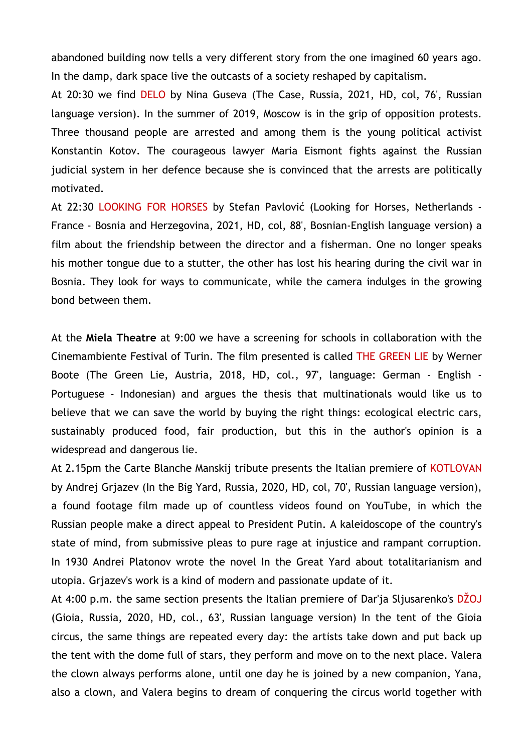abandoned building now tells a very different story from the one imagined 60 years ago. In the damp, dark space live the outcasts of a society reshaped by capitalism.

At 20:30 we find DELO by Nina Guseva (The Case, Russia, 2021, HD, col, 76', Russian language version). In the summer of 2019, Moscow is in the grip of opposition protests. Three thousand people are arrested and among them is the young political activist Konstantin Kotov. The courageous lawyer Maria Eismont fights against the Russian judicial system in her defence because she is convinced that the arrests are politically motivated.

At 22:30 LOOKING FOR HORSES by Stefan Pavlović (Looking for Horses, Netherlands -France - Bosnia and Herzegovina, 2021, HD, col, 88', Bosnian-English language version) a film about the friendship between the director and a fisherman. One no longer speaks his mother tongue due to a stutter, the other has lost his hearing during the civil war in Bosnia. They look for ways to communicate, while the camera indulges in the growing bond between them.

At the **Miela Theatre** at 9:00 we have a screening for schools in collaboration with the Cinemambiente Festival of Turin. The film presented is called THE GREEN LIE by Werner Boote (The Green Lie, Austria, 2018, HD, col., 97', language: German - English - Portuguese - Indonesian) and argues the thesis that multinationals would like us to believe that we can save the world by buying the right things: ecological electric cars, sustainably produced food, fair production, but this in the author's opinion is a widespread and dangerous lie.

At 2.15pm the Carte Blanche Manskij tribute presents the Italian premiere of KOTLOVAN by Andrej Grjazev (In the Big Yard, Russia, 2020, HD, col, 70', Russian language version), a found footage film made up of countless videos found on YouTube, in which the Russian people make a direct appeal to President Putin. A kaleidoscope of the country's state of mind, from submissive pleas to pure rage at injustice and rampant corruption. In 1930 Andrei Platonov wrote the novel In the Great Yard about totalitarianism and utopia. Grjazev's work is a kind of modern and passionate update of it.

At 4:00 p.m. the same section presents the Italian premiere of Dar'ja Sljusarenko's DŽOJ (Gioia, Russia, 2020, HD, col., 63', Russian language version) In the tent of the Gioia circus, the same things are repeated every day: the artists take down and put back up the tent with the dome full of stars, they perform and move on to the next place. Valera the clown always performs alone, until one day he is joined by a new companion, Yana, also a clown, and Valera begins to dream of conquering the circus world together with